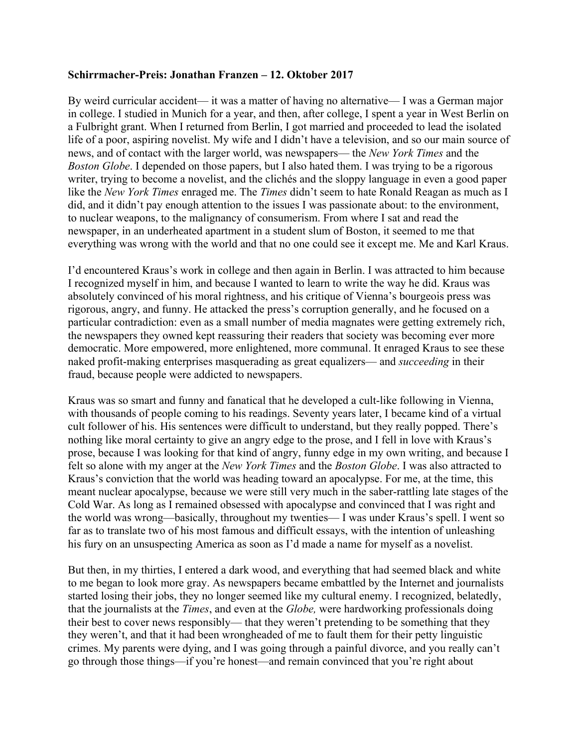## **Schirrmacher-Preis: Jonathan Franzen – 12. Oktober 2017**

By weird curricular accident— it was a matter of having no alternative— I was a German major in college. I studied in Munich for a year, and then, after college, I spent a year in West Berlin on a Fulbright grant. When I returned from Berlin, I got married and proceeded to lead the isolated life of a poor, aspiring novelist. My wife and I didn't have a television, and so our main source of news, and of contact with the larger world, was newspapers— the *New York Times* and the *Boston Globe*. I depended on those papers, but I also hated them. I was trying to be a rigorous writer, trying to become a novelist, and the clichés and the sloppy language in even a good paper like the *New York Times* enraged me. The *Times* didn't seem to hate Ronald Reagan as much as I did, and it didn't pay enough attention to the issues I was passionate about: to the environment, to nuclear weapons, to the malignancy of consumerism. From where I sat and read the newspaper, in an underheated apartment in a student slum of Boston, it seemed to me that everything was wrong with the world and that no one could see it except me. Me and Karl Kraus.

I'd encountered Kraus's work in college and then again in Berlin. I was attracted to him because I recognized myself in him, and because I wanted to learn to write the way he did. Kraus was absolutely convinced of his moral rightness, and his critique of Vienna's bourgeois press was rigorous, angry, and funny. He attacked the press's corruption generally, and he focused on a particular contradiction: even as a small number of media magnates were getting extremely rich, the newspapers they owned kept reassuring their readers that society was becoming ever more democratic. More empowered, more enlightened, more communal. It enraged Kraus to see these naked profit-making enterprises masquerading as great equalizers— and *succeeding* in their fraud, because people were addicted to newspapers.

Kraus was so smart and funny and fanatical that he developed a cult-like following in Vienna, with thousands of people coming to his readings. Seventy years later, I became kind of a virtual cult follower of his. His sentences were difficult to understand, but they really popped. There's nothing like moral certainty to give an angry edge to the prose, and I fell in love with Kraus's prose, because I was looking for that kind of angry, funny edge in my own writing, and because I felt so alone with my anger at the *New York Times* and the *Boston Globe*. I was also attracted to Kraus's conviction that the world was heading toward an apocalypse. For me, at the time, this meant nuclear apocalypse, because we were still very much in the saber-rattling late stages of the Cold War. As long as I remained obsessed with apocalypse and convinced that I was right and the world was wrong—basically, throughout my twenties— I was under Kraus's spell. I went so far as to translate two of his most famous and difficult essays, with the intention of unleashing his fury on an unsuspecting America as soon as I'd made a name for myself as a novelist.

But then, in my thirties, I entered a dark wood, and everything that had seemed black and white to me began to look more gray. As newspapers became embattled by the Internet and journalists started losing their jobs, they no longer seemed like my cultural enemy. I recognized, belatedly, that the journalists at the *Times*, and even at the *Globe,* were hardworking professionals doing their best to cover news responsibly— that they weren't pretending to be something that they they weren't, and that it had been wrongheaded of me to fault them for their petty linguistic crimes. My parents were dying, and I was going through a painful divorce, and you really can't go through those things—if you're honest—and remain convinced that you're right about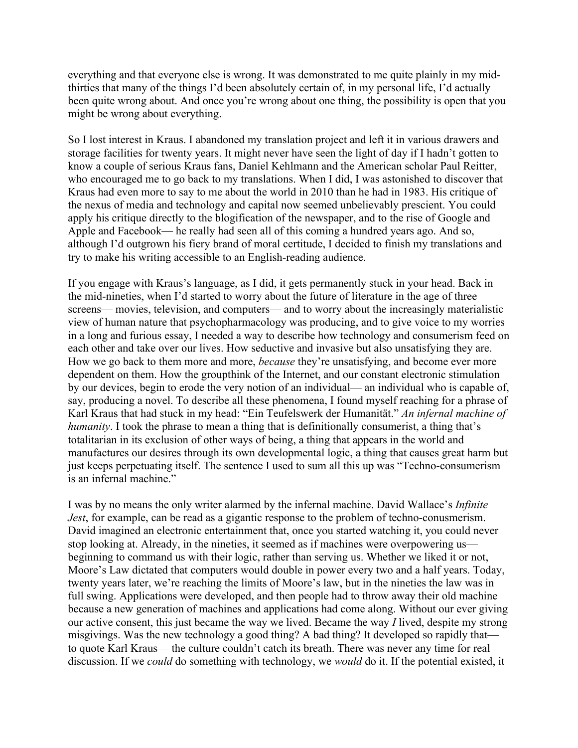everything and that everyone else is wrong. It was demonstrated to me quite plainly in my midthirties that many of the things I'd been absolutely certain of, in my personal life, I'd actually been quite wrong about. And once you're wrong about one thing, the possibility is open that you might be wrong about everything.

So I lost interest in Kraus. I abandoned my translation project and left it in various drawers and storage facilities for twenty years. It might never have seen the light of day if I hadn't gotten to know a couple of serious Kraus fans, Daniel Kehlmann and the American scholar Paul Reitter, who encouraged me to go back to my translations. When I did, I was astonished to discover that Kraus had even more to say to me about the world in 2010 than he had in 1983. His critique of the nexus of media and technology and capital now seemed unbelievably prescient. You could apply his critique directly to the blogification of the newspaper, and to the rise of Google and Apple and Facebook— he really had seen all of this coming a hundred years ago. And so, although I'd outgrown his fiery brand of moral certitude, I decided to finish my translations and try to make his writing accessible to an English-reading audience.

If you engage with Kraus's language, as I did, it gets permanently stuck in your head. Back in the mid-nineties, when I'd started to worry about the future of literature in the age of three screens— movies, television, and computers— and to worry about the increasingly materialistic view of human nature that psychopharmacology was producing, and to give voice to my worries in a long and furious essay, I needed a way to describe how technology and consumerism feed on each other and take over our lives. How seductive and invasive but also unsatisfying they are. How we go back to them more and more, *because* they're unsatisfying, and become ever more dependent on them. How the groupthink of the Internet, and our constant electronic stimulation by our devices, begin to erode the very notion of an individual— an individual who is capable of, say, producing a novel. To describe all these phenomena, I found myself reaching for a phrase of Karl Kraus that had stuck in my head: "Ein Teufelswerk der Humanität." *An infernal machine of humanity*. I took the phrase to mean a thing that is definitionally consumerist, a thing that's totalitarian in its exclusion of other ways of being, a thing that appears in the world and manufactures our desires through its own developmental logic, a thing that causes great harm but just keeps perpetuating itself. The sentence I used to sum all this up was "Techno-consumerism is an infernal machine."

I was by no means the only writer alarmed by the infernal machine. David Wallace's *Infinite Jest*, for example, can be read as a gigantic response to the problem of techno-conusmerism. David imagined an electronic entertainment that, once you started watching it, you could never stop looking at. Already, in the nineties, it seemed as if machines were overpowering us beginning to command us with their logic, rather than serving us. Whether we liked it or not, Moore's Law dictated that computers would double in power every two and a half years. Today, twenty years later, we're reaching the limits of Moore's law, but in the nineties the law was in full swing. Applications were developed, and then people had to throw away their old machine because a new generation of machines and applications had come along. Without our ever giving our active consent, this just became the way we lived. Became the way *I* lived, despite my strong misgivings. Was the new technology a good thing? A bad thing? It developed so rapidly that to quote Karl Kraus— the culture couldn't catch its breath. There was never any time for real discussion. If we *could* do something with technology, we *would* do it. If the potential existed, it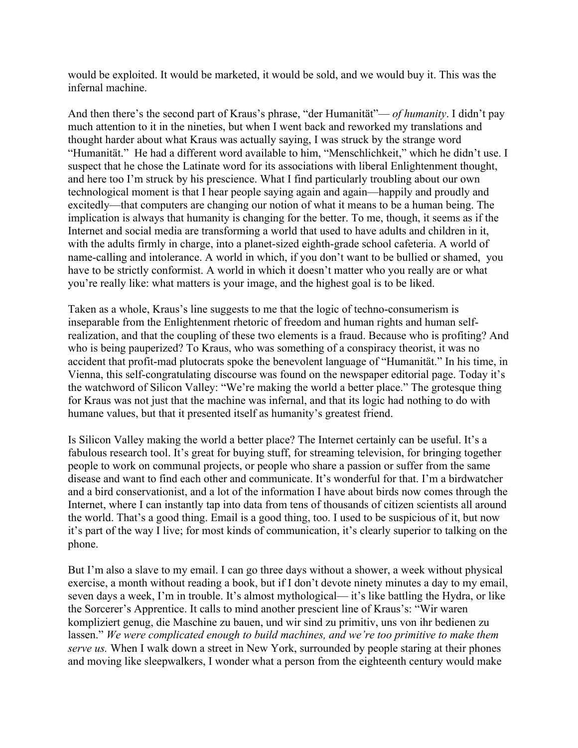would be exploited. It would be marketed, it would be sold, and we would buy it. This was the infernal machine.

And then there's the second part of Kraus's phrase, "der Humanität"— *of humanity*. I didn't pay much attention to it in the nineties, but when I went back and reworked my translations and thought harder about what Kraus was actually saying, I was struck by the strange word "Humanität." He had a different word available to him, "Menschlichkeit," which he didn't use. I suspect that he chose the Latinate word for its associations with liberal Enlightenment thought, and here too I'm struck by his prescience. What I find particularly troubling about our own technological moment is that I hear people saying again and again—happily and proudly and excitedly—that computers are changing our notion of what it means to be a human being. The implication is always that humanity is changing for the better. To me, though, it seems as if the Internet and social media are transforming a world that used to have adults and children in it, with the adults firmly in charge, into a planet-sized eighth-grade school cafeteria. A world of name-calling and intolerance. A world in which, if you don't want to be bullied or shamed, you have to be strictly conformist. A world in which it doesn't matter who you really are or what you're really like: what matters is your image, and the highest goal is to be liked.

Taken as a whole, Kraus's line suggests to me that the logic of techno-consumerism is inseparable from the Enlightenment rhetoric of freedom and human rights and human selfrealization, and that the coupling of these two elements is a fraud. Because who is profiting? And who is being pauperized? To Kraus, who was something of a conspiracy theorist, it was no accident that profit-mad plutocrats spoke the benevolent language of "Humanität." In his time, in Vienna, this self-congratulating discourse was found on the newspaper editorial page. Today it's the watchword of Silicon Valley: "We're making the world a better place." The grotesque thing for Kraus was not just that the machine was infernal, and that its logic had nothing to do with humane values, but that it presented itself as humanity's greatest friend.

Is Silicon Valley making the world a better place? The Internet certainly can be useful. It's a fabulous research tool. It's great for buying stuff, for streaming television, for bringing together people to work on communal projects, or people who share a passion or suffer from the same disease and want to find each other and communicate. It's wonderful for that. I'm a birdwatcher and a bird conservationist, and a lot of the information I have about birds now comes through the Internet, where I can instantly tap into data from tens of thousands of citizen scientists all around the world. That's a good thing. Email is a good thing, too. I used to be suspicious of it, but now it's part of the way I live; for most kinds of communication, it's clearly superior to talking on the phone.

But I'm also a slave to my email. I can go three days without a shower, a week without physical exercise, a month without reading a book, but if I don't devote ninety minutes a day to my email, seven days a week, I'm in trouble. It's almost mythological— it's like battling the Hydra, or like the Sorcerer's Apprentice. It calls to mind another prescient line of Kraus's: "Wir waren kompliziert genug, die Maschine zu bauen, und wir sind zu primitiv, uns von ihr bedienen zu lassen." *We were complicated enough to build machines, and we're too primitive to make them serve us.* When I walk down a street in New York, surrounded by people staring at their phones and moving like sleepwalkers, I wonder what a person from the eighteenth century would make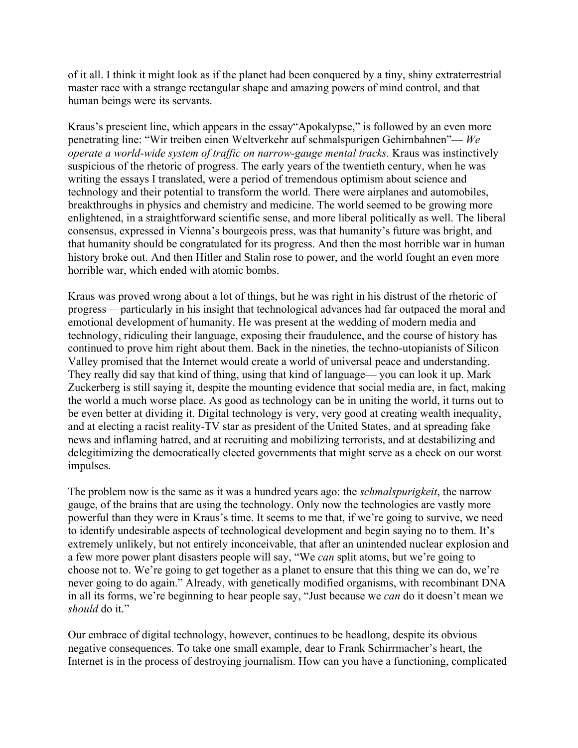of it all. I think it might look as if the planet had been conquered by a tiny, shiny extraterrestrial master race with a strange rectangular shape and amazing powers of mind control, and that human beings were its servants.

Kraus's prescient line, which appears in the essay"Apokalypse," is followed by an even more penetrating line: "Wir treiben einen Weltverkehr auf schmalspurigen Gehirnbahnen"— *We operate a world-wide system of traffic on narrow-gauge mental tracks.* Kraus was instinctively suspicious of the rhetoric of progress. The early years of the twentieth century, when he was writing the essays I translated, were a period of tremendous optimism about science and technology and their potential to transform the world. There were airplanes and automobiles, breakthroughs in physics and chemistry and medicine. The world seemed to be growing more enlightened, in a straightforward scientific sense, and more liberal politically as well. The liberal consensus, expressed in Vienna's bourgeois press, was that humanity's future was bright, and that humanity should be congratulated for its progress. And then the most horrible war in human history broke out. And then Hitler and Stalin rose to power, and the world fought an even more horrible war, which ended with atomic bombs.

Kraus was proved wrong about a lot of things, but he was right in his distrust of the rhetoric of progress— particularly in his insight that technological advances had far outpaced the moral and emotional development of humanity. He was present at the wedding of modern media and technology, ridiculing their language, exposing their fraudulence, and the course of history has continued to prove him right about them. Back in the nineties, the techno-utopianists of Silicon Valley promised that the Internet would create a world of universal peace and understanding. They really did say that kind of thing, using that kind of language— you can look it up. Mark Zuckerberg is still saying it, despite the mounting evidence that social media are, in fact, making the world a much worse place. As good as technology can be in uniting the world, it turns out to be even better at dividing it. Digital technology is very, very good at creating wealth inequality, and at electing a racist reality-TV star as president of the United States, and at spreading fake news and inflaming hatred, and at recruiting and mobilizing terrorists, and at destabilizing and delegitimizing the democratically elected governments that might serve as a check on our worst impulses.

The problem now is the same as it was a hundred years ago: the *schmalspurigkeit*, the narrow gauge, of the brains that are using the technology. Only now the technologies are vastly more powerful than they were in Kraus's time. It seems to me that, if we're going to survive, we need to identify undesirable aspects of technological development and begin saying no to them. It's extremely unlikely, but not entirely inconceivable, that after an unintended nuclear explosion and a few more power plant disasters people will say, "We *can* split atoms, but we're going to choose not to. We're going to get together as a planet to ensure that this thing we can do, we're never going to do again." Already, with genetically modified organisms, with recombinant DNA in all its forms, we're beginning to hear people say, "Just because we *can* do it doesn't mean we *should* do it."

Our embrace of digital technology, however, continues to be headlong, despite its obvious negative consequences. To take one small example, dear to Frank Schirrmacher's heart, the Internet is in the process of destroying journalism. How can you have a functioning, complicated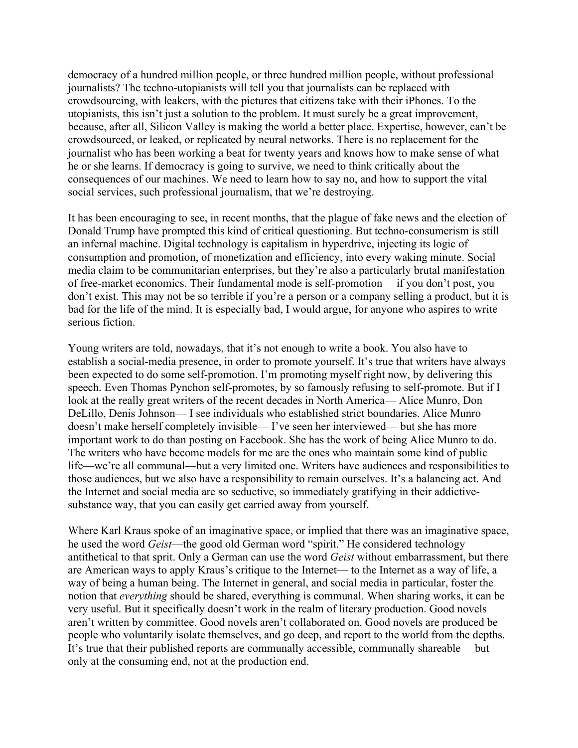democracy of a hundred million people, or three hundred million people, without professional journalists? The techno-utopianists will tell you that journalists can be replaced with crowdsourcing, with leakers, with the pictures that citizens take with their iPhones. To the utopianists, this isn't just a solution to the problem. It must surely be a great improvement, because, after all, Silicon Valley is making the world a better place. Expertise, however, can't be crowdsourced, or leaked, or replicated by neural networks. There is no replacement for the journalist who has been working a beat for twenty years and knows how to make sense of what he or she learns. If democracy is going to survive, we need to think critically about the consequences of our machines. We need to learn how to say no, and how to support the vital social services, such professional journalism, that we're destroying.

It has been encouraging to see, in recent months, that the plague of fake news and the election of Donald Trump have prompted this kind of critical questioning. But techno-consumerism is still an infernal machine. Digital technology is capitalism in hyperdrive, injecting its logic of consumption and promotion, of monetization and efficiency, into every waking minute. Social media claim to be communitarian enterprises, but they're also a particularly brutal manifestation of free-market economics. Their fundamental mode is self-promotion— if you don't post, you don't exist. This may not be so terrible if you're a person or a company selling a product, but it is bad for the life of the mind. It is especially bad, I would argue, for anyone who aspires to write serious fiction.

Young writers are told, nowadays, that it's not enough to write a book. You also have to establish a social-media presence, in order to promote yourself. It's true that writers have always been expected to do some self-promotion. I'm promoting myself right now, by delivering this speech. Even Thomas Pynchon self-promotes, by so famously refusing to self-promote. But if I look at the really great writers of the recent decades in North America— Alice Munro, Don DeLillo, Denis Johnson— I see individuals who established strict boundaries. Alice Munro doesn't make herself completely invisible— I've seen her interviewed— but she has more important work to do than posting on Facebook. She has the work of being Alice Munro to do. The writers who have become models for me are the ones who maintain some kind of public life—we're all communal—but a very limited one. Writers have audiences and responsibilities to those audiences, but we also have a responsibility to remain ourselves. It's a balancing act. And the Internet and social media are so seductive, so immediately gratifying in their addictivesubstance way, that you can easily get carried away from yourself.

Where Karl Kraus spoke of an imaginative space, or implied that there was an imaginative space, he used the word *Geist*—the good old German word "spirit." He considered technology antithetical to that sprit. Only a German can use the word *Geist* without embarrassment, but there are American ways to apply Kraus's critique to the Internet— to the Internet as a way of life, a way of being a human being. The Internet in general, and social media in particular, foster the notion that *everything* should be shared, everything is communal. When sharing works, it can be very useful. But it specifically doesn't work in the realm of literary production. Good novels aren't written by committee. Good novels aren't collaborated on. Good novels are produced be people who voluntarily isolate themselves, and go deep, and report to the world from the depths. It's true that their published reports are communally accessible, communally shareable— but only at the consuming end, not at the production end.